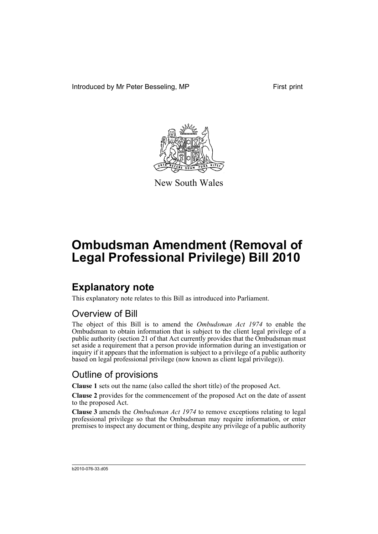Introduced by Mr Peter Besseling, MP First print



New South Wales

# **Ombudsman Amendment (Removal of Legal Professional Privilege) Bill 2010**

### **Explanatory note**

This explanatory note relates to this Bill as introduced into Parliament.

#### Overview of Bill

The object of this Bill is to amend the *Ombudsman Act 1974* to enable the Ombudsman to obtain information that is subject to the client legal privilege of a public authority (section 21 of that Act currently provides that the Ombudsman must set aside a requirement that a person provide information during an investigation or inquiry if it appears that the information is subject to a privilege of a public authority based on legal professional privilege (now known as client legal privilege)).

#### Outline of provisions

**Clause 1** sets out the name (also called the short title) of the proposed Act.

**Clause 2** provides for the commencement of the proposed Act on the date of assent to the proposed Act.

**Clause 3** amends the *Ombudsman Act 1974* to remove exceptions relating to legal professional privilege so that the Ombudsman may require information, or enter premises to inspect any document or thing, despite any privilege of a public authority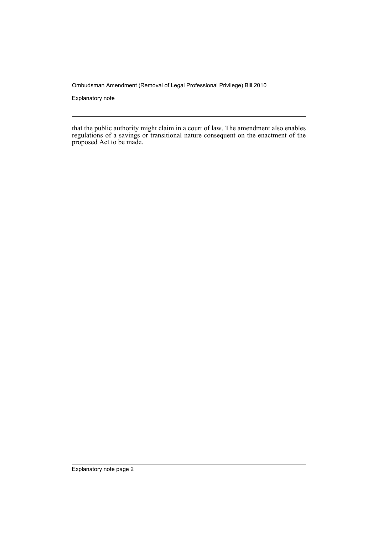Ombudsman Amendment (Removal of Legal Professional Privilege) Bill 2010

Explanatory note

that the public authority might claim in a court of law. The amendment also enables regulations of a savings or transitional nature consequent on the enactment of the proposed Act to be made.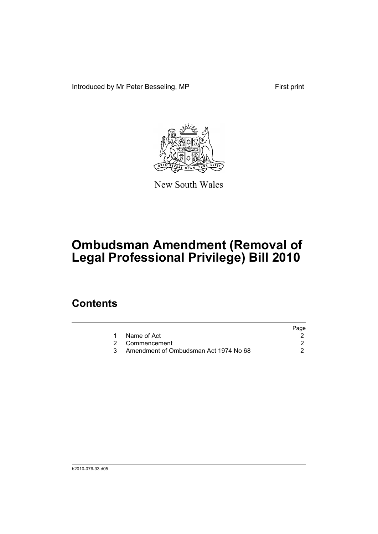Introduced by Mr Peter Besseling, MP First print



New South Wales

# **Ombudsman Amendment (Removal of Legal Professional Privilege) Bill 2010**

### **Contents**

| Page |
|------|
|      |
|      |
|      |
|      |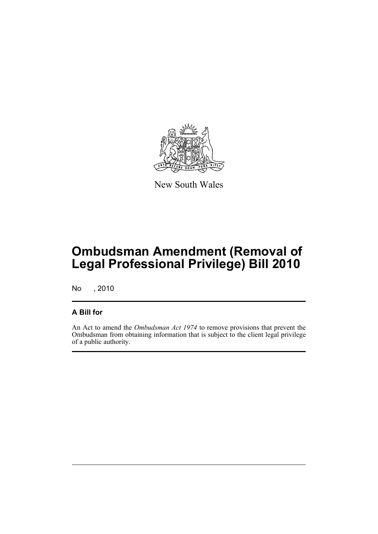

New South Wales

# **Ombudsman Amendment (Removal of Legal Professional Privilege) Bill 2010**

No , 2010

#### **A Bill for**

An Act to amend the *Ombudsman Act 1974* to remove provisions that prevent the Ombudsman from obtaining information that is subject to the client legal privilege of a public authority.